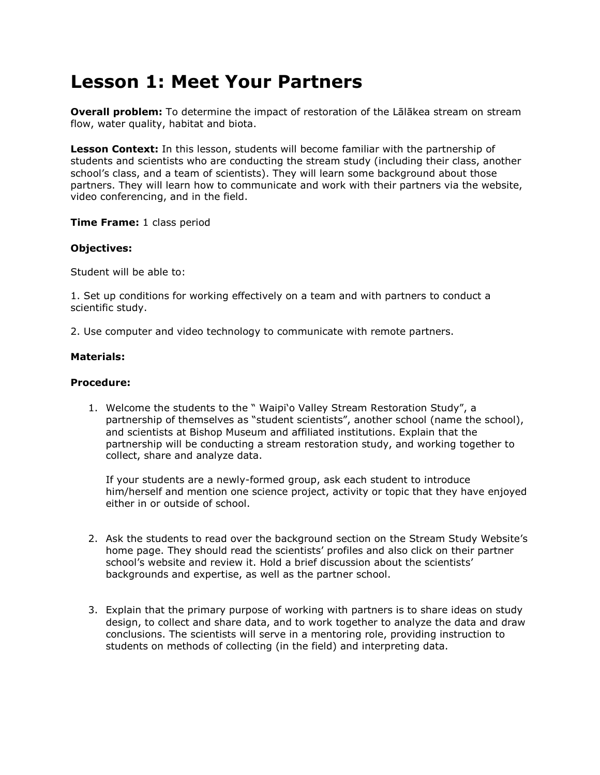## **Lesson 1: Meet Your Partners**

**Overall problem:** To determine the impact of restoration of the Lālākea stream on stream flow, water quality, habitat and biota.

**Lesson Context:** In this lesson, students will become familiar with the partnership of students and scientists who are conducting the stream study (including their class, another school"s class, and a team of scientists). They will learn some background about those partners. They will learn how to communicate and work with their partners via the website, video conferencing, and in the field.

**Time Frame:** 1 class period

## **Objectives:**

Student will be able to:

1. Set up conditions for working effectively on a team and with partners to conduct a scientific study.

2. Use computer and video technology to communicate with remote partners.

## **Materials:**

## **Procedure:**

1. Welcome the students to the " Waipi"o Valley Stream Restoration Study", a partnership of themselves as "student scientists", another school (name the school), and scientists at Bishop Museum and affiliated institutions. Explain that the partnership will be conducting a stream restoration study, and working together to collect, share and analyze data.

If your students are a newly-formed group, ask each student to introduce him/herself and mention one science project, activity or topic that they have enjoyed either in or outside of school.

- 2. Ask the students to read over the background section on the Stream Study Website"s home page. They should read the scientists" profiles and also click on their partner school's website and review it. Hold a brief discussion about the scientists' backgrounds and expertise, as well as the partner school.
- 3. Explain that the primary purpose of working with partners is to share ideas on study design, to collect and share data, and to work together to analyze the data and draw conclusions. The scientists will serve in a mentoring role, providing instruction to students on methods of collecting (in the field) and interpreting data.